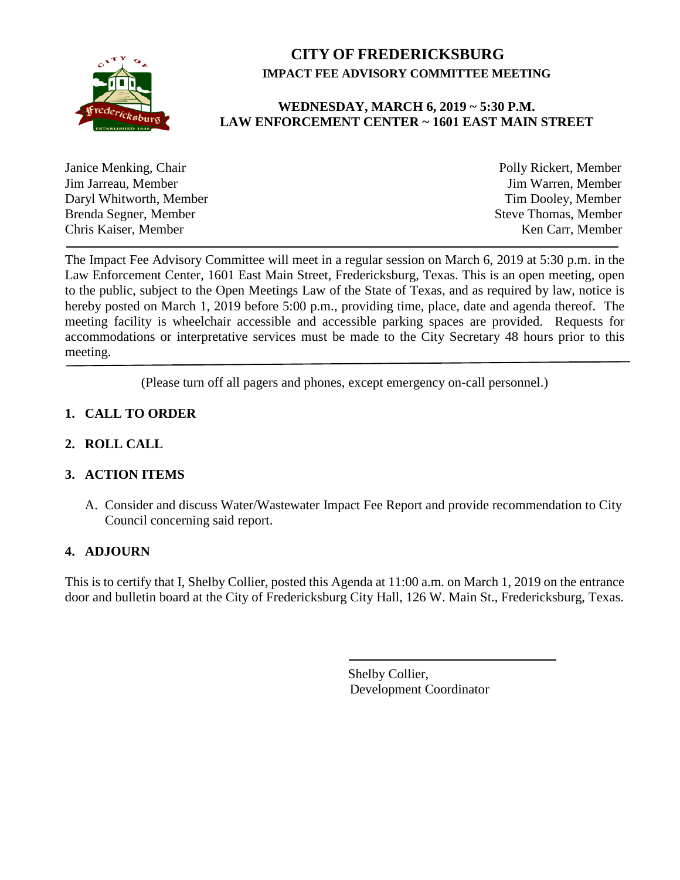

## **CITY OF FREDERICKSBURG IMPACT FEE ADVISORY COMMITTEE MEETING**

## **WEDNESDAY, MARCH 6, 2019 ~ 5:30 P.M. LAW ENFORCEMENT CENTER ~ 1601 EAST MAIN STREET**

| Polly Rickert, Member       |
|-----------------------------|
| Jim Warren, Member          |
| Tim Dooley, Member          |
| <b>Steve Thomas, Member</b> |
| Ken Carr, Member            |
|                             |

The Impact Fee Advisory Committee will meet in a regular session on March 6, 2019 at 5:30 p.m. in the Law Enforcement Center, 1601 East Main Street, Fredericksburg, Texas. This is an open meeting, open to the public, subject to the Open Meetings Law of the State of Texas, and as required by law, notice is hereby posted on March 1, 2019 before 5:00 p.m., providing time, place, date and agenda thereof. The meeting facility is wheelchair accessible and accessible parking spaces are provided. Requests for accommodations or interpretative services must be made to the City Secretary 48 hours prior to this meeting.

(Please turn off all pagers and phones, except emergency on-call personnel.)

## **1. CALL TO ORDER**

## **2. ROLL CALL**

### **3. ACTION ITEMS**

A. Consider and discuss Water/Wastewater Impact Fee Report and provide recommendation to City Council concerning said report.

### **4. ADJOURN**

This is to certify that I, Shelby Collier, posted this Agenda at 11:00 a.m. on March 1, 2019 on the entrance door and bulletin board at the City of Fredericksburg City Hall, 126 W. Main St., Fredericksburg, Texas.

> Shelby Collier, Development Coordinator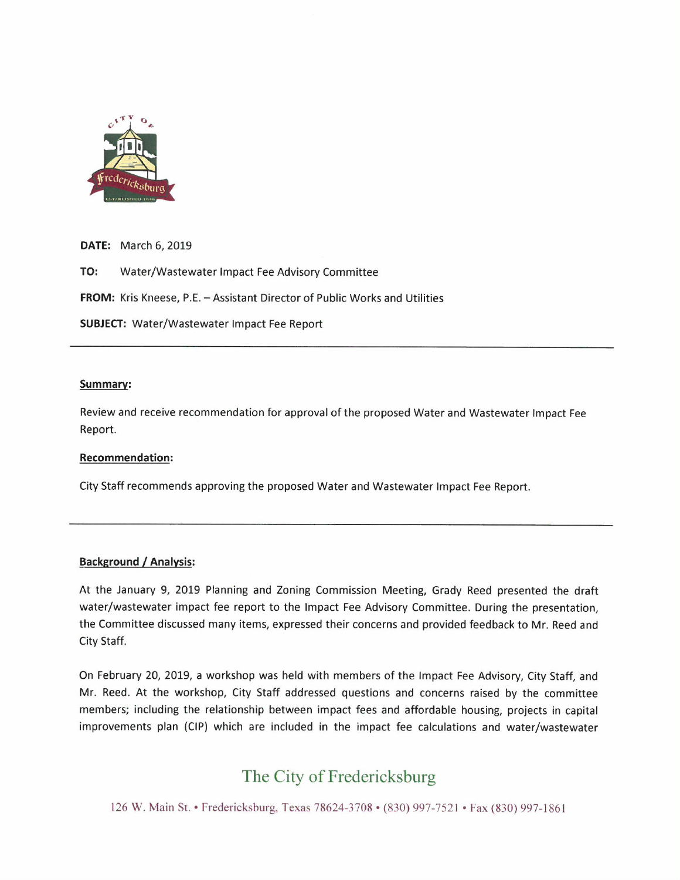

DATE: March 6, 2019

TO: Water/Wastewater Impact Fee Advisory Committee

FROM: Kris Kneese, P.E. - Assistant Director of Public Works and Utilities

**SUBJECT: Water/Wastewater Impact Fee Report** 

#### Summary:

Review and receive recommendation for approval of the proposed Water and Wastewater Impact Fee Report.

#### **Recommendation:**

City Staff recommends approving the proposed Water and Wastewater Impact Fee Report.

#### **Background / Analysis:**

At the January 9, 2019 Planning and Zoning Commission Meeting, Grady Reed presented the draft water/wastewater impact fee report to the Impact Fee Advisory Committee. During the presentation, the Committee discussed many items, expressed their concerns and provided feedback to Mr. Reed and City Staff.

On February 20, 2019, a workshop was held with members of the Impact Fee Advisory, City Staff, and Mr. Reed. At the workshop, City Staff addressed questions and concerns raised by the committee members; including the relationship between impact fees and affordable housing, projects in capital improvements plan (CIP) which are included in the impact fee calculations and water/wastewater

# The City of Fredericksburg

126 W. Main St. • Fredericksburg, Texas 78624-3708 • (830) 997-7521 • Fax (830) 997-1861